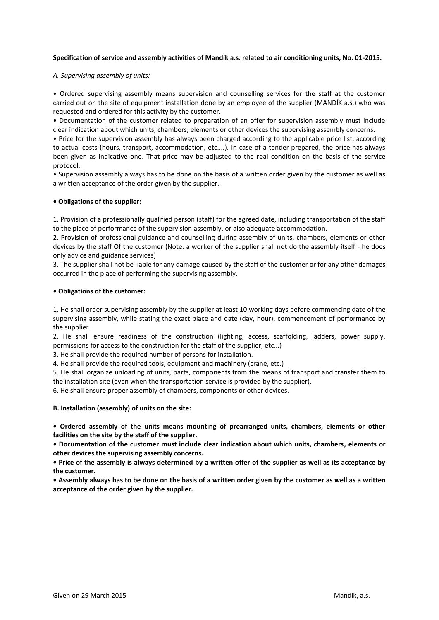# **Specification of service and assembly activities of Mandík a.s. related to air conditioning units, No. 01-2015.**

## *A. Supervising assembly of units:*

• Ordered supervising assembly means supervision and counselling services for the staff at the customer carried out on the site of equipment installation done by an employee of the supplier (MANDÍK a.s.) who was requested and ordered for this activity by the customer.

• Documentation of the customer related to preparation of an offer for supervision assembly must include clear indication about which units, chambers, elements or other devices the supervising assembly concerns.

• Price for the supervision assembly has always been charged according to the applicable price list, according to actual costs (hours, transport, accommodation, etc....). In case of a tender prepared, the price has always been given as indicative one. That price may be adjusted to the real condition on the basis of the service protocol.

• Supervision assembly always has to be done on the basis of a written order given by the customer as well as a written acceptance of the order given by the supplier.

## **• Obligations of the supplier:**

1. Provision of a professionally qualified person (staff) for the agreed date, including transportation of the staff to the place of performance of the supervision assembly, or also adequate accommodation.

2. Provision of professional guidance and counselling during assembly of units, chambers, elements or other devices by the staff Of the customer (Note: a worker of the supplier shall not do the assembly itself - he does only advice and guidance services)

3. The supplier shall not be liable for any damage caused by the staff of the customer or for any other damages occurred in the place of performing the supervising assembly.

### **• Obligations of the customer:**

1. He shall order supervising assembly by the supplier at least 10 working days before commencing date of the supervising assembly, while stating the exact place and date (day, hour), commencement of performance by the supplier.

2. He shall ensure readiness of the construction (lighting, access, scaffolding, ladders, power supply, permissions for access to the construction for the staff of the supplier, etc...)

3. He shall provide the required number of persons for installation.

4. He shall provide the required tools, equipment and machinery (crane, etc.)

5. He shall organize unloading of units, parts, components from the means of transport and transfer them to the installation site (even when the transportation service is provided by the supplier).

6. He shall ensure proper assembly of chambers, components or other devices.

### **B. Installation (assembly) of units on the site:**

**• Ordered assembly of the units means mounting of prearranged units, chambers, elements or other facilities on the site by the staff of the supplier.**

**• Documentation of the customer must include clear indication about which units, chambers, elements or other devices the supervising assembly concerns.**

**• Price of the assembly is always determined by a written offer of the supplier as well as its acceptance by the customer.**

**• Assembly always has to be done on the basis of a written order given by the customer as well as a written acceptance of the order given by the supplier.**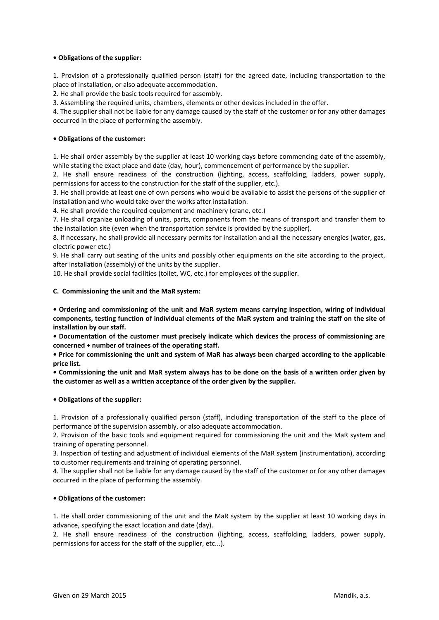# **• Obligations of the supplier:**

1. Provision of a professionally qualified person (staff) for the agreed date, including transportation to the place of installation, or also adequate accommodation.

2. He shall provide the basic tools required for assembly.

3. Assembling the required units, chambers, elements or other devices included in the offer.

4. The supplier shall not be liable for any damage caused by the staff of the customer or for any other damages occurred in the place of performing the assembly.

# **• Obligations of the customer:**

1. He shall order assembly by the supplier at least 10 working days before commencing date of the assembly, while stating the exact place and date (day, hour), commencement of performance by the supplier.

2. He shall ensure readiness of the construction (lighting, access, scaffolding, ladders, power supply, permissions for access to the construction for the staff of the supplier, etc.).

3. He shall provide at least one of own persons who would be available to assist the persons of the supplier of installation and who would take over the works after installation.

4. He shall provide the required equipment and machinery (crane, etc.)

7. He shall organize unloading of units, parts, components from the means of transport and transfer them to the installation site (even when the transportation service is provided by the supplier).

8. If necessary, he shall provide all necessary permits for installation and all the necessary energies (water, gas, electric power etc.)

9. He shall carry out seating of the units and possibly other equipments on the site according to the project, after installation (assembly) of the units by the supplier.

10. He shall provide social facilities (toilet, WC, etc.) for employees of the supplier.

## **C. Commissioning the unit and the MaR system:**

**• Ordering and commissioning of the unit and MaR system means carrying inspection, wiring of individual components, testing function of individual elements of the MaR system and training the staff on the site of installation by our staff.**

**• Documentation of the customer must precisely indicate which devices the process of commissioning are concerned + number of trainees of the operating staff.**

**• Price for commissioning the unit and system of MaR has always been charged according to the applicable price list.**

**• Commissioning the unit and MaR system always has to be done on the basis of a written order given by the customer as well as a written acceptance of the order given by the supplier.**

## **• Obligations of the supplier:**

1. Provision of a professionally qualified person (staff), including transportation of the staff to the place of performance of the supervision assembly, or also adequate accommodation.

2. Provision of the basic tools and equipment required for commissioning the unit and the MaR system and training of operating personnel.

3. Inspection of testing and adjustment of individual elements of the MaR system (instrumentation), according to customer requirements and training of operating personnel.

4. The supplier shall not be liable for any damage caused by the staff of the customer or for any other damages occurred in the place of performing the assembly.

## **• Obligations of the customer:**

1. He shall order commissioning of the unit and the MaR system by the supplier at least 10 working days in advance, specifying the exact location and date (day).

2. He shall ensure readiness of the construction (lighting, access, scaffolding, ladders, power supply, permissions for access for the staff of the supplier, etc...).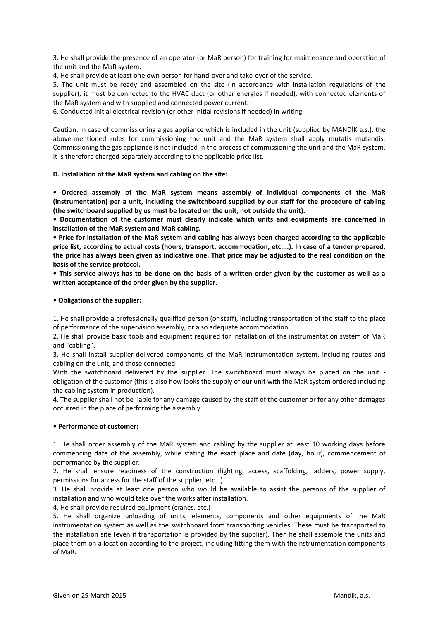3. He shall provide the presence of an operator (or MaR person) for training for maintenance and operation of the unit and the MaR system.

4. He shall provide at least one own person for hand-over and take-over of the service.

5. The unit must be ready and assembled on the site (in accordance with installation regulations of the supplier); it must be connected to the HVAC duct (or other energies if needed), with connected elements of the MaR system and with supplied and connected power current.

6. Conducted initial electrical revision (or other initial revisions if needed) in writing.

Caution: In case of commissioning a gas appliance which is included in the unit (supplied by MANDÍK a.s.), the above-mentioned rules for commissioning the unit and the MaR system shall apply mutatis mutandis. Commissioning the gas appliance is not included in the process of commissioning the unit and the MaR system. It is therefore charged separately according to the applicable price list.

## **D. Installation of the MaR system and cabling on the site:**

**• Ordered assembly of the MaR system means assembly of individual components of the MaR (instrumentation) per a unit, including the switchboard supplied by our staff for the procedure of cabling (the switchboard supplied by us must be located on the unit, not outside the unit).**

**• Documentation of the customer must clearly indicate which units and equipments are concerned in installation of the MaR system and MaR cabling.**

**• Price for installation of the MaR system and cabling has always been charged according to the applicable price list, according to actual costs (hours, transport, accommodation, etc....). In case of a tender prepared, the price has always been given as indicative one. That price may be adjusted to the real condition on the basis of the service protocol.**

**• This service always has to be done on the basis of a written order given by the customer as well as a written acceptance of the order given by the supplier.**

### **• Obligations of the supplier:**

1. He shall provide a professionally qualified person (or staff), including transportation of the staff to the place of performance of the supervision assembly, or also adequate accommodation.

2. He shall provide basic tools and equipment required for installation of the instrumentation system of MaR and "cabling".

3. He shall install supplier-delivered components of the MaR instrumentation system, including routes and cabling on the unit, and those connected

With the switchboard delivered by the supplier. The switchboard must always be placed on the unit obligation of the customer (this is also how looks the supply of our unit with the MaR system ordered including the cabling system in production).

4. The supplier shall not be liable for any damage caused by the staff of the customer or for any other damages occurred in the place of performing the assembly.

### **• Performance of customer:**

1. He shall order assembly of the MaR system and cabling by the supplier at least 10 working days before commencing date of the assembly, while stating the exact place and date (day, hour), commencement of performance by the supplier.

2. He shall ensure readiness of the construction (lighting, access, scaffolding, ladders, power supply, permissions for access for the staff of the supplier, etc...).

3. He shall provide at least one person who would be available to assist the persons of the supplier of installation and who would take over the works after installation.

4. He shall provide required equipment (cranes, etc.)

5. He shall organize unloading of units, elements, components and other equipments of the MaR instrumentation system as well as the switchboard from transporting vehicles. These must be transported to the installation site (even if transportation is provided by the supplier). Then he shall assemble the units and place them on a location according to the project, including fitting them with the nstrumentation components of MaR.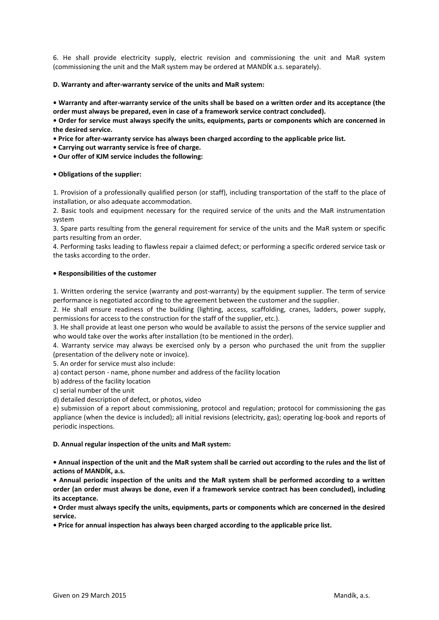6. He shall provide electricity supply, electric revision and commissioning the unit and MaR system (commissioning the unit and the MaR system may be ordered at MANDÍK a.s. separately).

## **D. Warranty and after-warranty service of the units and MaR system:**

**• Warranty and after-warranty service of the units shall be based on a written order and its acceptance (the order must always be prepared, even in case of a framework service contract concluded).**

**• Order for service must always specify the units, equipments, parts or components which are concerned in the desired service.**

**• Price for after-warranty service has always been charged according to the applicable price list.**

**• Carrying out warranty service is free of charge.**

**• Our offer of KJM service includes the following:**

### **• Obligations of the supplier:**

1. Provision of a professionally qualified person (or staff), including transportation of the staff to the place of installation, or also adequate accommodation.

2. Basic tools and equipment necessary for the required service of the units and the MaR instrumentation system

3. Spare parts resulting from the general requirement for service of the units and the MaR system or specific parts resulting from an order.

4. Performing tasks leading to flawless repair a claimed defect; or performing a specific ordered service task or the tasks according to the order.

### **• Responsibilities of the customer**

1. Written ordering the service (warranty and post-warranty) by the equipment supplier. The term of service performance is negotiated according to the agreement between the customer and the supplier.

2. He shall ensure readiness of the building (lighting, access, scaffolding, cranes, ladders, power supply, permissions for access to the construction for the staff of the supplier, etc.).

3. He shall provide at least one person who would be available to assist the persons of the service supplier and who would take over the works after installation (to be mentioned in the order).

4. Warranty service may always be exercised only by a person who purchased the unit from the supplier (presentation of the delivery note or invoice).

5. An order for service must also include:

a) contact person - name, phone number and address of the facility location

b) address of the facility location

c) serial number of the unit

d) detailed description of defect, or photos, video

e) submission of a report about commissioning, protocol and regulation; protocol for commissioning the gas appliance (when the device is included); all initial revisions (electricity, gas); operating log-book and reports of periodic inspections.

### **D. Annual regular inspection of the units and MaR system:**

**• Annual inspection of the unit and the MaR system shall be carried out according to the rules and the list of actions of MANDÍK, a.s.**

**• Annual periodic inspection of the units and the MaR system shall be performed according to a written order (an order must always be done, even if a framework service contract has been concluded), including its acceptance.**

**• Order must always specify the units, equipments, parts or components which are concerned in the desired service.**

**• Price for annual inspection has always been charged according to the applicable price list.**